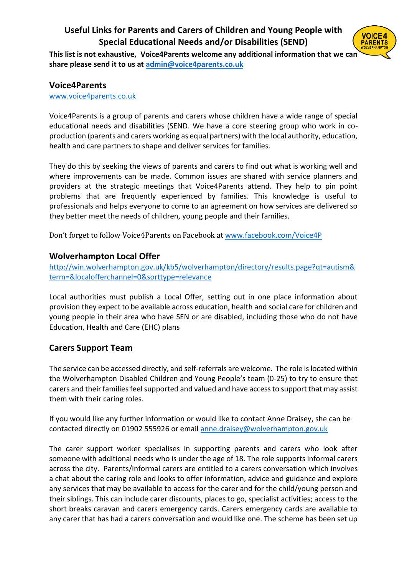# **Useful Links for Parents and Carers of Children and Young People with Special Educational Needs and/or Disabilities (SEND)**



**This list is not exhaustive, Voice4Parents welcome any additional information that we can share please send it to us at [admin@voice4parents.co.uk](mailto:admin@voice4parents.co.uk)**

#### **Voice4Parents**

[www.voice4parents.co.uk](http://www.voice4parents.co.uk/) 

Voice4Parents is a group of parents and carers whose children have a wide range of special educational needs and disabilities (SEND. We have a core steering group who work in coproduction (parents and carers working as equal partners) with the local authority, education, health and care partners to shape and deliver services for families.

They do this by seeking the views of parents and carers to find out what is working well and where improvements can be made. Common issues are shared with service planners and providers at the strategic meetings that Voice4Parents attend. They help to pin point problems that are frequently experienced by families. This knowledge is useful to professionals and helps everyone to come to an agreement on how services are delivered so they better meet the needs of children, young people and their families.

Don't forget to follow Voice4Parents on Facebook at [www.facebook.com/Voice4P](http://www.facebook.com/Voice4P)

## **Wolverhampton Local Offer**

[http://win.wolverhampton.gov.uk/kb5/wolverhampton/directory/results.page?qt=autism&](http://win.wolverhampton.gov.uk/kb5/wolverhampton/directory/results.page?qt=autism&term=&localofferchannel=0&sorttype=relevance) [term=&localofferchannel=0&sorttype=relevance](http://win.wolverhampton.gov.uk/kb5/wolverhampton/directory/results.page?qt=autism&term=&localofferchannel=0&sorttype=relevance)

Local authorities must publish a Local Offer, setting out in one place information about provision they expect to be available across education, health and social care for children and young people in their area who have SEN or are disabled, including those who do not have Education, Health and Care (EHC) plans

# **Carers Support Team**

The service can be accessed directly, and self-referrals are welcome. The role is located within the Wolverhampton Disabled Children and Young People's team (0-25) to try to ensure that carers and their families feel supported and valued and have access to support that may assist them with their caring roles.

If you would like any further information or would like to contact Anne Draisey, she can be contacted directly on 01902 555926 or email [anne.draisey@wolverhampton.gov.uk](mailto:anne.draisey@wolverhampton.gov.uk)

The carer support worker specialises in supporting parents and carers who look after someone with additional needs who is under the age of 18. The role supports informal carers across the city. Parents/informal carers are entitled to a carers conversation which involves a chat about the caring role and looks to offer information, advice and guidance and explore any services that may be available to access for the carer and for the child/young person and their siblings. This can include carer discounts, places to go, specialist activities; access to the short breaks caravan and carers emergency cards. Carers emergency cards are available to any carer that has had a carers conversation and would like one. The scheme has been set up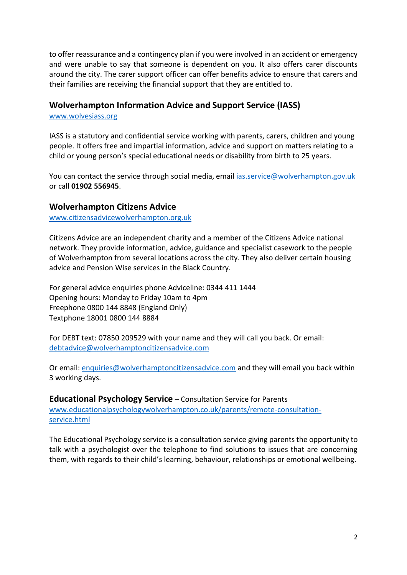to offer reassurance and a contingency plan if you were involved in an accident or emergency and were unable to say that someone is dependent on you. It also offers carer discounts around the city. The carer support officer can offer benefits advice to ensure that carers and their families are receiving the financial support that they are entitled to.

## **Wolverhampton Information Advice and Support Service (IASS)**

[www.wolvesiass.org](http://www.wolvesiass.org/)

IASS is a statutory and confidential service working with parents, carers, children and young people. It offers free and impartial information, advice and support on matters relating to a child or young person's special educational needs or disability from birth to 25 years.

You can contact the service through social media, email [ias.service@wolverhampton.gov.uk](mailto:ias.service@wolverhampton.gov.uk) or call **01902 556945**.

#### **Wolverhampton Citizens Advice**

[www.citizensadvicewolverhampton.org.uk](http://www.citizensadvicewolverhampton.org.uk/)

Citizens Advice are an independent charity and a member of the Citizens Advice national network. They provide information, advice, guidance and specialist casework to the people of Wolverhampton from several locations across the city. They also deliver certain housing advice and Pension Wise services in the Black Country.

For general advice enquiries phone Adviceline: 0344 411 1444 Opening hours: Monday to Friday 10am to 4pm Freephone 0800 144 8848 (England Only) Textphone 18001 0800 144 8884

For DEBT text: 07850 209529 with your name and they will call you back. Or email: [debtadvice@wolverhamptoncitizensadvice.com](mailto:debtadvice@wolverhamptoncitizensadvice.com)

Or email: [enquiries@wolverhamptoncitizensadvice.com](mailto:enquiries@wolverhamptoncitizensadvice.com) and they will email you back within 3 working days.

**Educational Psychology Service** – Consultation Service for Parents [www.educationalpsychologywolverhampton.co.uk/parents/remote-consultation](http://www.educationalpsychologywolverhampton.co.uk/parents/remote-consultation-service.html)[service.html](http://www.educationalpsychologywolverhampton.co.uk/parents/remote-consultation-service.html)

The Educational Psychology service is a consultation service giving parents the opportunity to talk with a psychologist over the telephone to find solutions to issues that are concerning them, with regards to their child's learning, behaviour, relationships or emotional wellbeing.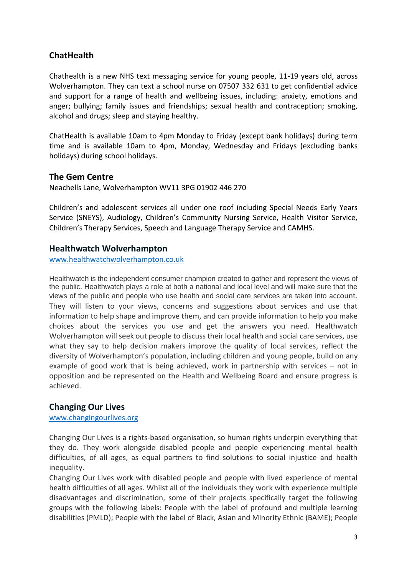# **ChatHealth**

Chathealth is a new NHS text messaging service for young people, 11-19 years old, across Wolverhampton. They can text a school nurse on 07507 332 631 to get confidential advice and support for a range of health and wellbeing issues, including: anxiety, emotions and anger; bullying; family issues and friendships; sexual health and contraception; smoking, alcohol and drugs; sleep and staying healthy.

ChatHealth is available 10am to 4pm Monday to Friday (except bank holidays) during term time and is available 10am to 4pm, Monday, Wednesday and Fridays (excluding banks holidays) during school holidays.

## **The Gem Centre**

Neachells Lane, Wolverhampton WV11 3PG 01902 446 270

Children's and adolescent services all under one roof including Special Needs Early Years Service (SNEYS), Audiology, Children's Community Nursing Service, Health Visitor Service, Children's Therapy Services, Speech and Language Therapy Service and CAMHS.

#### **Healthwatch Wolverhampton**

[www.healthwatchwolverhampton.co.uk](http://www.healthwatchwolverhampton.co.uk/)

Healthwatch is the independent consumer champion created to gather and represent the views of the public. Healthwatch plays a role at both a national and local level and will make sure that the views of the public and people who use health and social care services are taken into account. They will listen to your views, concerns and suggestions about services and use that information to help shape and improve them, and can provide information to help you make choices about the services you use and get the answers you need. Healthwatch Wolverhampton will seek out people to discuss their local health and social care services, use what they say to help decision makers improve the quality of local services, reflect the diversity of Wolverhampton's population, including children and young people, build on any example of good work that is being achieved, work in partnership with services – not in opposition and be represented on the Health and Wellbeing Board and ensure progress is achieved.

#### **Changing Our Lives**

[www.changingourlives.org](http://www.changingourlives.org/)

Changing Our Lives is a rights-based organisation, so human rights underpin everything that they do. They work alongside disabled people and people experiencing mental health difficulties, of all ages, as equal partners to find solutions to social injustice and health inequality.

Changing Our Lives work with disabled people and people with lived experience of mental health difficulties of all ages. Whilst all of the individuals they work with experience multiple disadvantages and discrimination, some of their projects specifically target the following groups with the following labels: People with the label of profound and multiple learning disabilities (PMLD); People with the label of Black, Asian and Minority Ethnic (BAME); People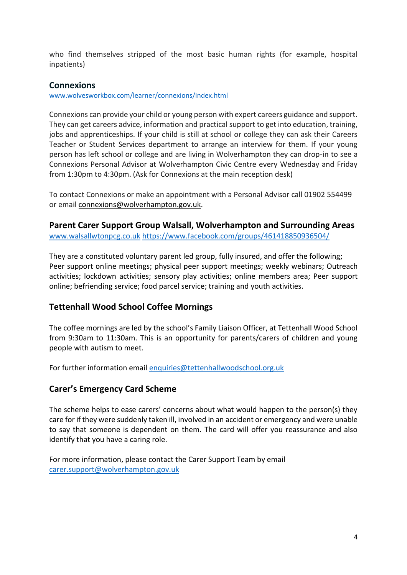who find themselves stripped of the most basic human rights (for example, hospital inpatients)

## **Connexions**

[www.wolvesworkbox.com/learner/connexions/index.html](http://www.wolvesworkbox.com/learner/connexions/index.html)

Connexions can provide your child or young person with expert careers guidance and support. They can get careers advice, information and practical support to get into education, training, jobs and apprenticeships. If your child is still at school or college they can ask their Careers Teacher or Student Services department to arrange an interview for them. If your young person has left school or college and are living in Wolverhampton they can drop-in to see a Connexions Personal Advisor at Wolverhampton Civic Centre every Wednesday and Friday from 1:30pm to 4:30pm. (Ask for Connexions at the main reception desk)

To contact Connexions or make an appointment with a Personal Advisor call 01902 554499 or email [connexions@wolverhampton.gov.uk.](mailto:connexions@wolverhampton.gov.uk)

**Parent Carer Support Group Walsall, Wolverhampton and Surrounding Areas** [www.walsallwtonpcg.co.uk](http://www.walsallwtonpcg.co.uk/) <https://www.facebook.com/groups/461418850936504/>

They are a constituted voluntary parent led group, fully insured, and offer the following; Peer support online meetings; physical peer support meetings; weekly webinars; Outreach activities; lockdown activities; sensory play activities; online members area; Peer support online; befriending service; food parcel service; training and youth activities.

## **Tettenhall Wood School Coffee Mornings**

The coffee mornings are led by the school's Family Liaison Officer, at Tettenhall Wood School from 9:30am to 11:30am. This is an opportunity for parents/carers of children and young people with autism to meet.

For further information email [enquiries@tettenhallwoodschool.org.uk](mailto:enquiries@tettenhallwoodschool.org.uk)

## **Carer's Emergency Card Scheme**

The scheme helps to ease carers' concerns about what would happen to the person(s) they care for if they were suddenly taken ill, involved in an accident or emergency and were unable to say that someone is dependent on them. The card will offer you reassurance and also identify that you have a caring role.

For more information, please contact the Carer Support Team by email [carer.support@wolverhampton.gov.uk](mailto:carer.support@wolverhampton.gov.uk)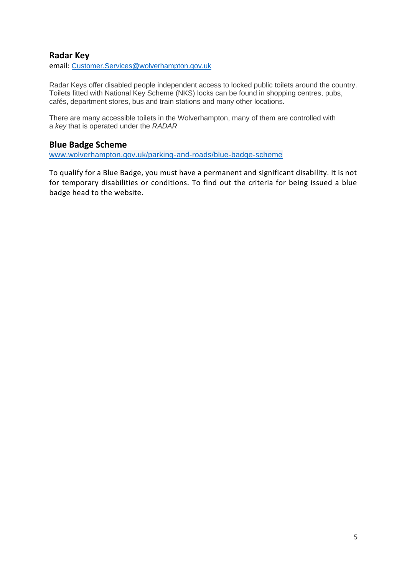## **Radar Key**

email: [Customer.Services@wolverhampton.gov.uk](mailto:Customer.Services@wolverhampton.gov.uk)

Radar Keys offer disabled people independent access to locked public toilets around the country. Toilets fitted with National Key Scheme (NKS) locks can be found in shopping centres, pubs, cafés, department stores, bus and train stations and many other locations.

There are many accessible toilets in the Wolverhampton, many of them are controlled with a *key* that is operated under the *RADAR*

#### **Blue Badge Scheme**

[www.wolverhampton.gov.uk/parking-and-roads/blue-badge-scheme](http://www.wolverhampton.gov.uk/parking-and-roads/blue-badge-scheme)

To qualify for a Blue Badge, you must have a permanent and significant disability. It is not for temporary disabilities or conditions. To find out the criteria for being issued a blue badge head to the website.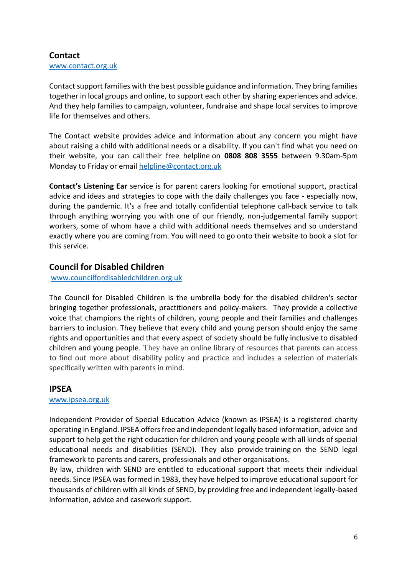#### **Contact** [www.contact.org.uk](http://www.contact.org.uk/)

Contact support families with the best possible guidance and information. They bring families together in local groups and online, to support each other by sharing experiences and advice. And they help families to campaign, volunteer, fundraise and shape local services to improve life for themselves and others.

The Contact website provides advice and information about any concern you might have about raising a child with additional needs or a disability. If you can't find what you need on their website, you can call their free helpline on **0808 808 3555** between 9.30am-5pm Monday to Friday or email [helpline@contact.org.uk](mailto:helpline@contact.org.uk)

**Contact's Listening Ear** service is for parent carers looking for emotional support, practical advice and ideas and strategies to cope with the daily challenges you face - especially now, during the pandemic. It's a free and totally confidential telephone call-back service to talk through anything worrying you with one of our friendly, non-judgemental family support workers, some of whom have a child with additional needs themselves and so understand exactly where you are coming from. You will need to go onto their website to book a slot for this service.

# **Council for Disabled Children**

[www.councilfordisabledchildren.org.uk](http://www.councilfordisabledchildren.org.uk/)

The Council for Disabled Children is the umbrella body for the disabled children's sector bringing together professionals, practitioners and policy-makers. They provide a collective voice that champions the rights of children, young people and their families and challenges barriers to inclusion. They believe that every child and young person should enjoy the same rights and opportunities and that every aspect of society should be fully inclusive to disabled children and young people. They have an online library of resources that parents can access to find out more about disability policy and practice and includes a selection of materials specifically written with parents in mind.

## **IPSEA**

#### [www.ipsea.org.uk](http://www.ipsea.org.uk/)

Independent Provider of Special Education Advice (known as IPSEA) is a registered charity operating in England. IPSEA offers free and independent legally based [information, advice and](https://www.ipsea.org.uk/Pages/Category/service-overview/)  [support](https://www.ipsea.org.uk/Pages/Category/service-overview/) to help get the right education for children and young people with all kinds of special educational needs and disabilities (SEND). They also provide [training](https://www.ipsea.org.uk/Pages/Category/learn-about-and-book-training/) on the SEND legal framework to parents and carers, professionals and other organisations.

By law, children with SEND are entitled to educational support that meets their individual needs. Since IPSEA was formed in 1983, they have helped to improve educational support for thousands of children with all kinds of SEND, by providing free and independent legally-based information, advice and casework support.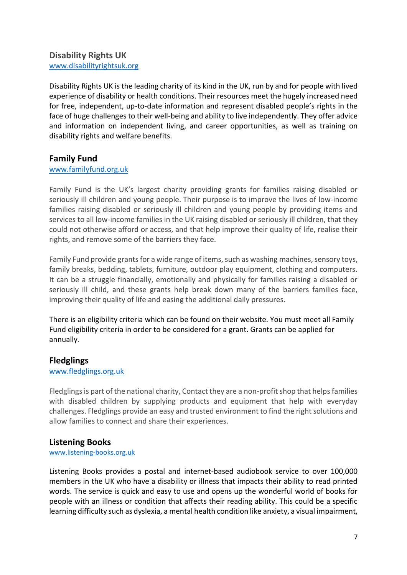# **Disability Rights UK**

[www.disabilityrightsuk.org](http://www.disabilityrightsuk.org/)

Disability Rights UK is the leading charity of its kind in the UK, run by and for people with lived experience of disability or health conditions. Their resources meet the hugely increased need for free, independent, up-to-date information and represent disabled people's rights in the face of huge challenges to their well-being and ability to live independently. They offer advice and information on independent living, and career opportunities, as well as training on disability rights and welfare benefits.

## **Family Fund**

#### [www.familyfund.org.uk](http://www.familyfund.org.uk/)

Family Fund is the UK's largest charity providing grants for families raising disabled or seriously ill children and young people. Their purpose is to improve the lives of low-income families raising disabled or seriously ill children and young people by providing items and services to all low-income families in the UK raising disabled or seriously ill children, that they could not otherwise afford or access, and that help improve their quality of life, realise their rights, and remove some of the barriers they face.

Family Fund provide grants for a wide range of items, such as washing machines, sensory toys, family breaks, bedding, tablets, furniture, outdoor play equipment, clothing and computers. It can be a struggle financially, emotionally and physically for families raising a disabled or seriously ill child, and these grants help break down many of the barriers families face, improving their quality of life and easing the additional daily pressures.

There is an eligibility criteria which can be found on their website. You must meet all Family Fund eligibility criteria in order to be considered for a grant. Grants can be applied for annually.

#### **Fledglings**

#### [www.fledglings.org.uk](http://www.fledglings.org.uk/)

Fledglings is part of the national charity, Contact they are a non-profit shop that helps families with disabled children by supplying products and equipment that help with everyday challenges. Fledglings provide an easy and trusted environment to find the right solutions and allow families to connect and share their experiences.

#### **Listening Books**

[www.listening-books.org.uk](http://www.listening-books.org.uk/)

Listening Books provides a postal and internet-based audiobook service to over 100,000 members in the UK who have a disability or illness that impacts their ability to read printed words. The service is quick and easy to use and opens up the wonderful world of books for people with an illness or condition that affects their reading ability. This could be a specific learning difficulty such as dyslexia, a mental health condition like anxiety, a visual impairment,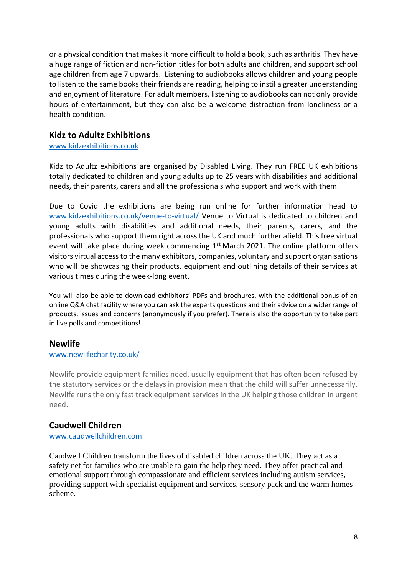or a physical condition that makes it more difficult to hold a book, such as arthritis. They have a huge range of fiction and non-fiction titles for both adults and children, and support school age children from age 7 upwards. Listening to audiobooks allows children and young people to listen to the same books their friends are reading, helping to instil a greater understanding and enjoyment of literature. For adult members, listening to audiobooks can not only provide hours of entertainment, but they can also be a welcome distraction from loneliness or a health condition.

# **Kidz to Adultz Exhibitions**

[www.kidzexhibitions.co.uk](http://www.kidzexhibitions.co.uk/)

Kidz to Adultz exhibitions are organised by Disabled Living. They run FREE UK exhibitions totally dedicated to children and young adults up to 25 years with disabilities and additional needs, their parents, carers and all the professionals who support and work with them.

Due to Covid the exhibitions are being run online for further information head to [www.kidzexhibitions.co.uk/venue-to-virtual/](http://www.kidzexhibitions.co.uk/venue-to-virtual/) Venue to Virtual is dedicated to children and young adults with disabilities and additional needs, their parents, carers, and the professionals who support them right across the UK and much further afield. This free virtual event will take place during week commencing  $1<sup>st</sup>$  March 2021. The online platform offers visitors virtual access to the many exhibitors, companies, voluntary and support organisations who will be showcasing their products, equipment and outlining details of their services at various times during the week-long event.

You will also be able to download exhibitors' PDFs and brochures, with the additional bonus of an online Q&A chat facility where you can ask the experts questions and their advice on a wider range of products, issues and concerns (anonymously if you prefer). There is also the opportunity to take part in live polls and competitions!

## **Newlife**

#### [www.newlifecharity.co.uk/](http://www.newlifecharity.co.uk/)

Newlife provide equipment families need, usually equipment that has often been refused by the statutory services or the delays in provision mean that the child will suffer unnecessarily. Newlife runs the only fast track equipment services in the UK helping those children in urgent need.

# **Caudwell Children**

[www.caudwellchildren.com](http://www.caudwellchildren.com/)

Caudwell Children transform the lives of disabled children across the UK. They act as a safety net for families who are unable to gain the help they need. They offer practical and emotional support through compassionate and efficient services including autism services, providing support with specialist equipment and services, sensory pack and the warm homes scheme.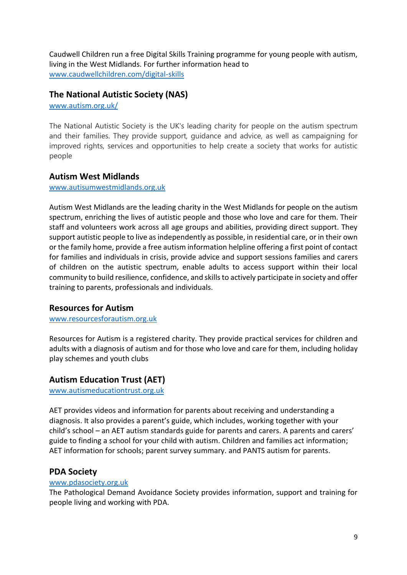Caudwell Children run a free Digital Skills Training programme for young people with autism, living in the West Midlands. For further information head to [www.caudwellchildren.com/digital-skills](http://www.caudwellchildren.com/digital-skills)

## **The National Autistic Society (NAS)**

[www.autism.org.uk/](http://www.autism.org.uk/)

The National Autistic Society is the UK's leading charity for people on the autism spectrum and their families. They provide support, guidance and advice, as well as campaigning for improved rights, services and opportunities to help create a society that works for autistic people

## **Autism West Midlands**

#### [www.autisumwestmidlands.org.uk](http://www.autisumwestmidlands.org.uk/)

Autism West Midlands are the leading charity in the West Midlands for people on the autism spectrum, enriching the lives of autistic people and those who love and care for them. Their staff and volunteers work across all age groups and abilities, providing direct support. They support autistic people to live as independently as possible, in residential care, or in their own or the family home, provide a free autism information helpline offering a first point of contact for families and individuals in crisis, provide advice and support sessions families and carers of children on the autistic spectrum, enable adults to access support within their local community to build resilience, confidence, and skills to actively participate in society and offer training to parents, professionals and individuals.

## **Resources for Autism**

#### [www.resourcesforautism.org.uk](http://www.resourcesforautism.org.uk/)

Resources for Autism is a registered charity. They provide practical services for children and adults with a diagnosis of autism and for those who love and care for them, including holiday play schemes and youth clubs

## **Autism Education Trust (AET)**

[www.autismeducationtrust.org.uk](http://www.autismeducationtrust.org.uk/)

AET provides videos and information for parents about receiving and understanding a diagnosis. It also provides a parent's guide, which includes, working together with your child's school – an AET autism standards guide for parents and carers. A parents and carers' guide to finding a school for your child with autism. Children and families act information; AET information for schools; parent survey summary. and PANTS autism for parents.

#### **PDA Society**

#### [www.pdasociety.org.uk](http://www.pdasociety.org.uk/)

The Pathological Demand Avoidance Society provides information, support and training for people living and working with PDA.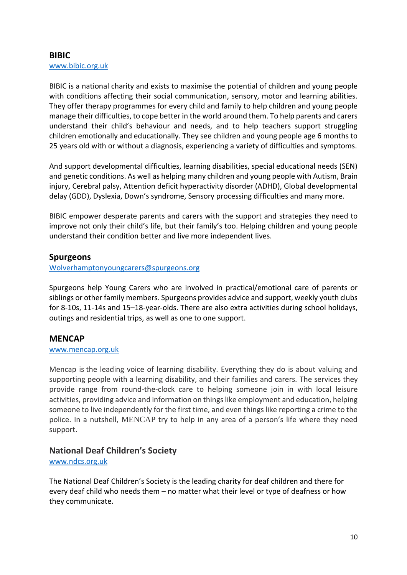## **BIBIC** [www.bibic.org.uk](http://www.bibic.org.uk/)

BIBIC is a national charity and exists to maximise the potential of children and young people with conditions affecting their social communication, sensory, motor and learning abilities. They offer therapy programmes for every child and family to help children and young people manage their difficulties, to cope better in the world around them. To help parents and carers understand their child's behaviour and needs, and to help teachers support struggling children emotionally and educationally. They see children and young people age 6 months to 25 years old with or without a diagnosis, experiencing a variety of difficulties and symptoms.

And support developmental difficulties, learning disabilities, special educational needs (SEN) and genetic conditions. As well as helping many children and young people with Autism, Brain injury, Cerebral palsy, Attention deficit hyperactivity disorder (ADHD), Global developmental delay (GDD), Dyslexia, Down's syndrome, Sensory processing difficulties and many more.

BIBIC empower desperate parents and carers with the support and strategies they need to improve not only their child's life, but their family's too. Helping children and young people understand their condition better and live more independent lives.

## **Spurgeons**

[Wolverhamptonyoungcarers@spurgeons.org](mailto:Wolverhamptonyoungcarers@spurgeons.org)

Spurgeons help Young Carers who are involved in practical/emotional care of parents or siblings or other family members. Spurgeons provides advice and support, weekly youth clubs for 8-10s, 11-14s and 15–18-year-olds. There are also extra activities during school holidays, outings and residential trips, as well as one to one support.

## **MENCAP**

#### [www.mencap.org.uk](http://www.mencap.org.uk/)

Mencap is the leading voice of learning disability. Everything they do is about valuing and supporting people with a learning disability, and their families and carers. The services they provide range from round-the-clock care to helping someone join in with local leisure activities, providing advice and information on things like employment and education, helping someone to live independently for the first time, and even things like reporting a crime to the police. In a nutshell, MENCAP try to help in any area of a person's life where they need support.

## **National Deaf Children's Society**

#### [www.ndcs.org.uk](http://www.ndcs.org.uk/)

The National Deaf Children's Society is the leading charity for deaf children and there for every deaf child who needs them – no matter what their level or type of deafness or how they communicate.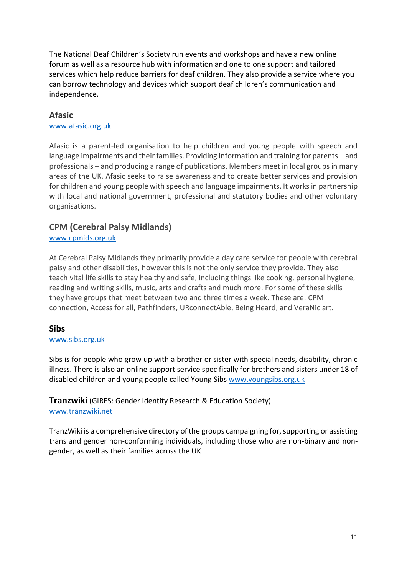The National Deaf Children's Society run events and workshops and have a new online forum as well as a resource hub with information and one to one support and tailored services which help reduce barriers for deaf children. They also provide a service where you can borrow technology and devices which support deaf children's communication and independence.

## **Afasic**

#### [www.afasic.org.uk](http://www.afasic.org.uk/)

Afasic is a parent-led organisation to help children and young people with speech and language impairments and their families. Providing information and training for parents – and professionals – and producing a range of publications. Members meet in local groups in many areas of the UK. Afasic seeks to raise awareness and to create better services and provision for children and young people with speech and language impairments. It works in partnership with local and national government, professional and statutory bodies and other voluntary organisations.

## **CPM (Cerebral Palsy Midlands)**

[www.cpmids.org.uk](http://www.cpmids.org.uk/)

At Cerebral Palsy Midlands they primarily provide a day care service for people with cerebral palsy and other disabilities, however this is not the only service they provide. They also teach vital life skills to stay healthy and safe, including things like cooking, personal hygiene, reading and writing skills, music, arts and crafts and much more. For some of these skills they have groups that meet between two and three times a week. These are: CPM connection, Access for all, Pathfinders, URconnectAble, Being Heard, and VeraNic art.

#### **Sibs**

#### [www.sibs.org.uk](http://www.sibs.org.uk/)

Sibs is for people who grow up with a brother or sister with special needs, disability, chronic illness. There is also an online support service specifically for brothers and sisters under 18 of disabled children and young people called Young Sibs [www.youngsibs.org.uk](http://www.youngsibs.org.uk/)

## **Tranzwiki** (GIRES: Gender Identity Research & Education Society) [www.tranzwiki.net](http://www.tranzwiki.net/)

TranzWiki is a comprehensive directory of the groups campaigning for, supporting or assisting trans and gender non-conforming individuals, including those who are non-binary and nongender, as well as their families across the UK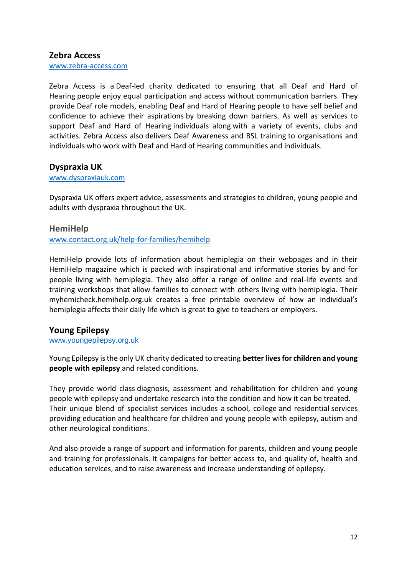#### **Zebra Access**

[www.zebra-access.com](http://www.zebra-access.com/)

Zebra Access is a Deaf-led charity dedicated to ensuring that all Deaf and Hard of Hearing people enjoy equal participation and access without communication barriers. They provide Deaf role models, enabling Deaf and Hard of Hearing people to have self belief and confidence to achieve their aspirations by breaking down barriers. As well as services to support Deaf and Hard of Hearing individuals along with a variety of events, clubs and activities. Zebra Access also delivers Deaf Awareness and BSL training to organisations and individuals who work with Deaf and Hard of Hearing communities and individuals.

#### **Dyspraxia UK**

#### [www.dyspraxiauk.com](http://www.dyspraxiauk.com/)

Dyspraxia UK offers expert advice, assessments and strategies to children, young people and adults with dyspraxia throughout the UK.

#### **HemiHelp**

[www.contact.org.uk/help-for-families/hemihelp](http://www.contact.org.uk/help-for-families/hemihelp)

HemiHelp provide lots of information about hemiplegia on their webpages and in their HemiHelp magazine which is packed with inspirational and informative stories by and for people living with hemiplegia. They also offer a range of online and real-life events and training workshops that allow families to connect with others living with hemiplegia. Their myhemicheck.hemihelp.org.uk creates a free printable overview of how an individual's hemiplegia affects their daily life which is great to give to teachers or employers.

## **Young Epilepsy**

#### [www.youngepilepsy.org.uk](http://www.youngepilepsy.org.uk/)

Young Epilepsy is the only UK charity dedicated to creating **better lives for children and young people with epilepsy** and related conditions.

They provide world class [diagnosis, assessment and rehabilitation for children and young](https://www.youngepilepsy.org.uk/for-professionals/health-services-at-young-epilepsy/)  [people with epilepsy](https://www.youngepilepsy.org.uk/for-professionals/health-services-at-young-epilepsy/) and undertake [research](https://www.youngepilepsy.org.uk/for-professionals/research/) into the condition and how it can be treated. Their unique blend of specialist services includes a [school, college](https://www.youngepilepsy.org.uk/for-parents-and-carers/st-piers-specialist-education/) and residential services providing education and healthcare for children and young people with epilepsy, autism and other neurological conditions.

And also provide a range of [support and information for parents,](https://www.youngepilepsy.org.uk/for-parents-and-carers/help-and-advice/) children and young people and training for professionals. It campaigns for better access to, and quality of, health and education services, and to raise awareness and increase understanding of epilepsy.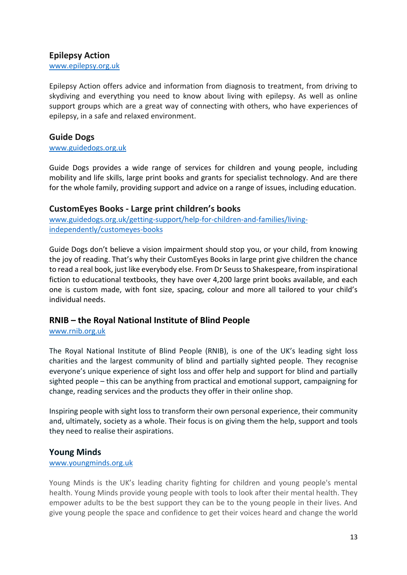## **Epilepsy Action**

[www.epilepsy.org.uk](http://www.epilepsy.org.uk/)

Epilepsy Action offers advice and information from diagnosis to treatment, from driving to skydiving and everything you need to know about living with epilepsy. As well as online support groups which are a great way of connecting with others, who have experiences of epilepsy, in a safe and relaxed environment.

## **Guide Dogs**

[www.guidedogs.org.uk](http://www.guidedogs.org.uk/)

Guide Dogs provides a wide range of services for children and young people, including mobility and life skills, large print books and grants for specialist technology. And are there for the whole family, providing support and advice on a range of issues, including education.

## **CustomEyes Books - Large print children's books**

[www.guidedogs.org.uk/getting-support/help-for-children-and-families/living](http://www.guidedogs.org.uk/getting-support/help-for-children-and-families/living-independently/customeyes-books)[independently/customeyes-books](http://www.guidedogs.org.uk/getting-support/help-for-children-and-families/living-independently/customeyes-books)

Guide Dogs don't believe a vision impairment should stop you, or your child, from knowing the joy of reading. That's why their CustomEyes Books in large print give children the chance to read a real book, just like everybody else. From Dr Seuss to Shakespeare, from inspirational fiction to educational textbooks, they have over 4,200 large print books available, and each one is custom made, with font size, spacing, colour and more all tailored to your child's individual needs.

## **RNIB – the Royal National Institute of Blind People**

[www.rnib.org.uk](http://www.rnib.org.uk/)

The Royal National Institute of Blind People (RNIB), is one of the UK's leading sight loss charities and the largest community of blind and partially sighted people. They recognise everyone's unique experience of sight loss and offer help and support for blind and partially sighted people – this can be anything from practical and emotional support, campaigning for change, reading services and the products they offer in their online shop.

Inspiring people with sight loss to transform their own personal experience, their community and, ultimately, society as a whole. Their focus is on giving them the help, support and tools they need to realise their aspirations.

## **Young Minds**

#### [www.youngminds.org.uk](http://www.youngminds.org.uk/)

Young Minds is the UK's leading charity fighting for children and young people's mental health. Young Minds provide young people with tools to look after their mental health. They empower adults to be the best support they can be to the young people in their lives. And give young people the space and confidence to get their voices heard and change the world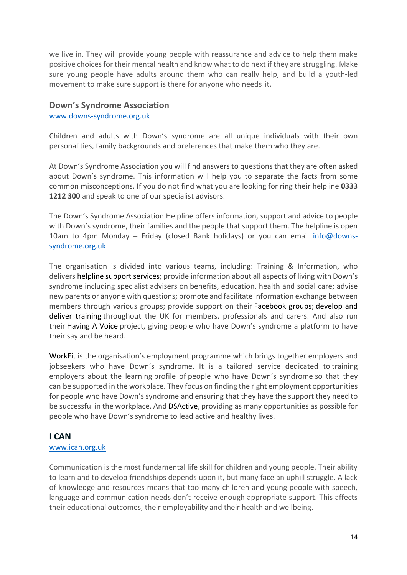we live in. They will provide young people with reassurance and advice to help them make positive choices for their mental health and know what to do next if they are struggling. Make sure young people have adults around them who can really help, and build a youth-led movement to make sure support is there for anyone who needs it.

#### **Down's Syndrome Association**

#### [www.downs-syndrome.org.uk](http://www.downs-syndrome.org.uk/)

Children and adults with Down's syndrome are all unique individuals with their own personalities, family backgrounds and preferences that make them who they are.

At Down's Syndrome Association you will find answers to questions that they are often asked about Down's syndrome. This information will help you to separate the facts from some common misconceptions. If you do not find what you are looking for ring their helpline **0333 1212 300** and speak to one of our specialist advisors.

The Down's Syndrome Association Helpline offers information, support and advice to people with Down's syndrome, their families and the people that support them. The helpline is open 10am to 4pm Monday - Friday (closed Bank holidays) or you can email [info@downs](mailto:info@downs-syndrome.org.uk)[syndrome.org.uk](mailto:info@downs-syndrome.org.uk)

The organisation is divided into various teams, including: Training & Information, who delivers helpline support [services;](https://www.downs-syndrome.org.uk/about/helpline/) provide information about all aspects of living with Down's syndrome including specialist advisers on benefits, education, health and social care; advise new parents or anyone with questions; promote and facilitate information exchange between members through various groups; provide support on their [Facebook](https://www.facebook.com/pg/DownsSyndromeAssociation/groups/?ref=page_internal) groups; [develop](https://www.downs-syndrome.org.uk/about/training/) and deliver [training](https://www.downs-syndrome.org.uk/about/training/) throughout the UK for members, professionals and carers. And also run their [Having](https://www.downs-syndrome.org.uk/about/having-a-voice/) A Voice project, giving people who have Down's syndrome a platform to have their say and be heard.

[WorkFit](http://www.dsworkfit.org.uk/) is the organisation's employment programme which brings together employers and jobseekers who have Down's syndrome. It is a tailored service dedicated to training employers about the learning profile of people who have Down's syndrome so that they can be supported in the workplace. They focus on finding the right employment opportunities for people who have Down's syndrome and ensuring that they have the support they need to be successful in the workplace. And [DSActive,](https://www.dsactive.org.uk/) providing as many opportunities as possible for people who have Down's syndrome to lead active and healthy lives.

#### **I CAN**

#### [www.ican.org.uk](http://www.ican.org.uk/)

Communication is the most fundamental life skill for children and young people. Their ability to learn and to develop friendships depends upon it, but many face an uphill struggle. A lack of knowledge and resources means that too many children and young people with speech, language and communication needs don't receive enough appropriate support. This affects their educational outcomes, their employability and their health and wellbeing.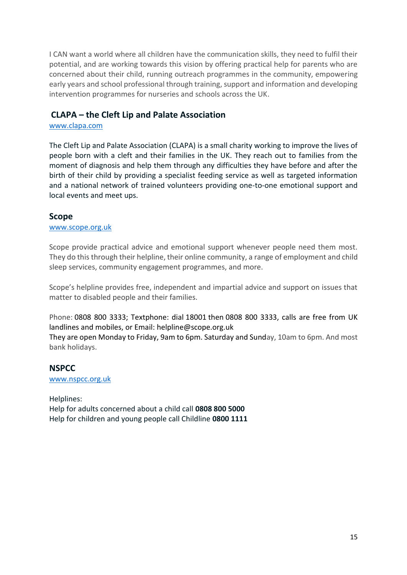I CAN want a world where all children have the communication skills, they need to fulfil their potential, and are working towards this vision by offering practical help for parents who are concerned about their child, running outreach programmes in the community, empowering early years and school professional through training, support and information and developing intervention programmes for nurseries and schools across the UK.

## **CLAPA – the Cleft Lip and Palate Association**

#### [www.clapa.com](http://www.clapa.com/)

The Cleft Lip and Palate Association (CLAPA) is a small charity working to improve the lives of people born with a cleft and their families in the UK. They reach out to families from the moment of diagnosis and help them through any difficulties they have before and after the birth of their child by providing a specialist feeding service as well as targeted information and a national network of trained volunteers providing one-to-one emotional support and local events and meet ups.

#### **Scope**

#### [www.scope.org.uk](http://www.scope.org.uk/)

Scope provide practical advice and emotional support whenever people need them most. They do this through their helpline, their online community, a range of employment and child sleep services, community engagement programmes, and more.

Scope's helpline provides free, independent and impartial advice and support on issues that matter to disabled people and their families.

Phone: 0808 800 [3333;](tel:) Textphone: dial [18001](tel:) then 0808 800 [3333,](tel:) calls are free from UK landlines and mobiles, or Email: [helpline@scope.org.uk](mailto:helpline@scope.org.uk)

They are open Monday to Friday, 9am to 6pm. Saturday and Sunday, 10am to 6pm. And most bank holidays.

# **NSPCC**

[www.nspcc.org.uk](http://www.nspcc.org.uk/)

Helplines: Help for adults concerned about a child call **0808 800 5000** Help for children and young people call Childline **0800 1111**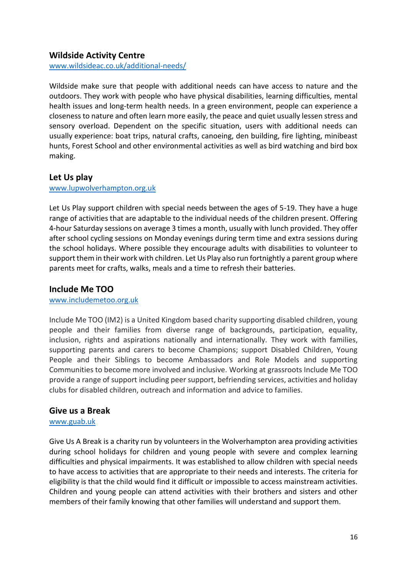# **Wildside Activity Centre**

[www.wildsideac.co.uk/additional-needs/](http://www.wildsideac.co.uk/additional-needs/)

Wildside make sure that people with additional needs can have access to nature and the outdoors. They work with people who have physical disabilities, learning difficulties, mental health issues and long-term health needs. In a green environment, people can experience a closeness to nature and often learn more easily, the peace and quiet usually lessen stress and sensory overload. Dependent on the specific situation, users with additional needs can usually experience: boat trips, natural crafts, canoeing, den building, fire lighting, minibeast hunts, Forest School and other environmental activities as well as bird watching and bird box making.

## **Let Us play**

#### [www.lupwolverhampton.org.uk](http://www.lupwolverhampton.org.uk/)

Let Us Play support children with special needs between the ages of 5-19. They have a huge range of activities that are adaptable to the individual needs of the children present. Offering 4-hour Saturday sessions on average 3 times a month, usually with lunch provided. They offer after school cycling sessions on Monday evenings during term time and extra sessions during the school holidays. Where possible they encourage adults with disabilities to volunteer to support them in their work with children. Let Us Play also run fortnightly a parent group where parents meet for crafts, walks, meals and a time to refresh their batteries.

#### **Include Me TOO**

#### [www.includemetoo.org.uk](http://www.includemetoo.org.uk/)

Include Me TOO (IM2) is a United Kingdom based charity supporting disabled children, young people and their families from diverse range of backgrounds, participation, equality, inclusion, rights and aspirations nationally and internationally. They work with families, supporting parents and carers to become Champions; support Disabled Children, Young People and their Siblings to become Ambassadors and Role Models and supporting Communities to become more involved and inclusive. Working at grassroots Include Me TOO provide a range of support including peer support, befriending services, activities and holiday clubs for disabled children, outreach and information and advice to families.

#### **Give us a Break**

#### [www.guab.uk](http://www.guab.uk/)

Give Us A Break is a charity run by volunteers in the Wolverhampton area providing activities during school holidays for children and young people with severe and complex learning difficulties and physical impairments. It was established to allow children with special needs to have access to activities that are appropriate to their needs and interests. The criteria for eligibility is that the child would find it difficult or impossible to access mainstream activities. Children and young people can attend activities with their brothers and sisters and other members of their family knowing that other families will understand and support them.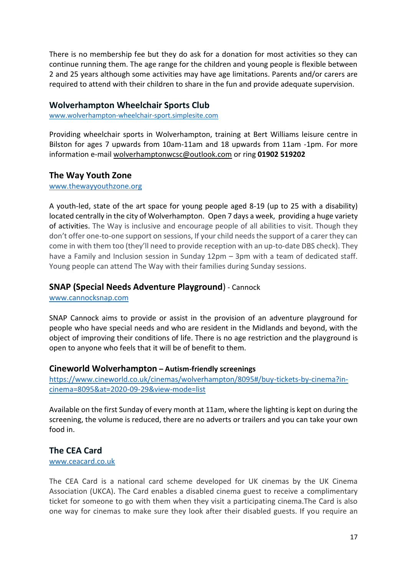There is no membership fee but they do ask for a donation for most activities so they can continue running them. The age range for the children and young people is flexible between 2 and 25 years although some activities may have age limitations. Parents and/or carers are required to attend with their children to share in the fun and provide adequate supervision.

#### **Wolverhampton Wheelchair Sports Club**

[www.wolverhampton-wheelchair-sport.simplesite.com](http://www.wolverhampton-wheelchair-sport.simplesite.com/)

Providing wheelchair sports in Wolverhampton, training at Bert Williams leisure centre in Bilston for ages 7 upwards from 10am-11am and 18 upwards from 11am -1pm. For more information e-mail [wolverhamptonwcsc@outlook.com](mailto:wolverhamptonwcsc@outlook.com) or ring **01902 519202**

#### **The Way Youth Zone**

#### [www.thewayyouthzone.org](http://www.thewayyouthzone.org/)

A youth-led, state of the art space for young people aged 8-19 (up to 25 with a disability) located centrally in the city of Wolverhampton. Open 7 days a week, providing a huge variety of activities. The Way is inclusive and encourage people of all abilities to visit. Though they don't offer one-to-one support on sessions, If your child needs the support of a carer they can come in with them too (they'll need to provide reception with an up-to-date DBS check). They have a Family and Inclusion session in Sunday 12pm – 3pm with a team of dedicated staff. Young people can attend The Way with their families during Sunday sessions.

#### **SNAP (Special Needs Adventure Playground**) - Cannock

[www.cannocksnap.com](http://www.cannocksnap.com/)

SNAP Cannock aims to provide or assist in the provision of an adventure playground for people who have special needs and who are resident in the Midlands and beyond, with the object of improving their conditions of life. There is no age restriction and the playground is open to anyone who feels that it will be of benefit to them.

#### **Cineworld Wolverhampton – Autism-friendly screenings**

[https://www.cineworld.co.uk/cinemas/wolverhampton/8095#/buy-tickets-by-cinema?in](https://www.cineworld.co.uk/cinemas/wolverhampton/8095#/buy-tickets-by-cinema?in-cinema=8095&at=2020-09-29&view-mode=list)[cinema=8095&at=2020-09-29&view-mode=list](https://www.cineworld.co.uk/cinemas/wolverhampton/8095#/buy-tickets-by-cinema?in-cinema=8095&at=2020-09-29&view-mode=list)

Available on the first Sunday of every month at 11am, where the lighting is kept on during the screening, the volume is reduced, there are no adverts or trailers and you can take your own food in.

#### **The CEA Card**

#### [www.ceacard.co.uk](http://www.ceacard.co.uk/)

The CEA Card is a national card scheme developed for UK cinemas by the UK Cinema Association (UKCA). The Card enables a disabled cinema guest to receive a complimentary ticket for someone to go with them when they visit a participating cinema.The Card is also one way for cinemas to make sure they look after their disabled guests. If you require an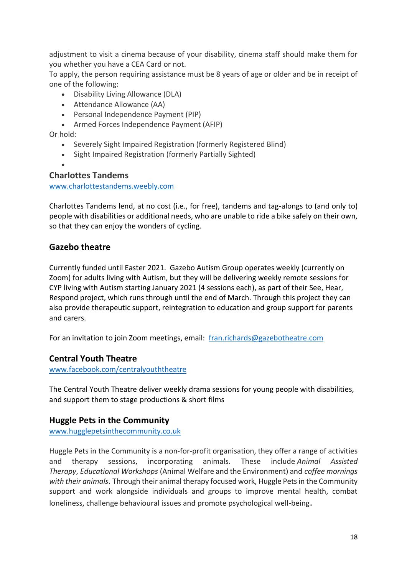adjustment to visit a cinema because of your disability, cinema staff should make them for you whether you have a CEA Card or not.

To apply, the person requiring assistance must be 8 years of age or older and be in receipt of one of the following:

- Disability Living Allowance (DLA)
- Attendance Allowance (AA)
- Personal Independence Payment (PIP)
- Armed Forces Independence Payment (AFIP)

Or hold:

- Severely Sight Impaired Registration (formerly Registered Blind)
- Sight Impaired Registration (formerly Partially Sighted)

#### • **Charlottes Tandems**

#### [www.charlottestandems.weebly.com](http://www.charlottestandems.weebly.com/)

Charlottes Tandems lend, at no cost (i.e., for free), tandems and tag-alongs to (and only to) people with disabilities or additional needs, who are unable to ride a bike safely on their own, so that they can enjoy the wonders of cycling.

# **Gazebo theatre**

Currently funded until Easter 2021. Gazebo Autism Group operates weekly (currently on Zoom) for adults living with Autism, but they will be delivering weekly remote sessions for CYP living with Autism starting January 2021 (4 sessions each), as part of their See, Hear, Respond project, which runs through until the end of March. Through this project they can also provide therapeutic support, reintegration to education and group support for parents and carers.

For an invitation to join Zoom meetings, email: [fran.richards@gazebotheatre.com](mailto:fran.richards@gazebotheatre.com)

## **Central Youth Theatre**

[www.facebook.com/centralyouththeatre](http://www.facebook.com/centralyouththeatre)

The Central Youth Theatre deliver weekly drama sessions for young people with disabilities, and support them to stage productions & short films

## **Huggle Pets in the Community**

[www.hugglepetsinthecommunity.co.uk](http://www.hugglepetsinthecommunity.co.uk/)

Huggle Pets in the Community is a non-for-profit organisation, they offer a range of activities and therapy sessions, incorporating animals. These include *Animal Assisted Therapy*, *Educational Workshops* (Animal Welfare and the Environment) and *coffee mornings with their animals*. Through their animal therapy focused work, Huggle Pets in the Community support and work alongside individuals and groups to improve mental health, combat loneliness, challenge behavioural issues and promote psychological well-being.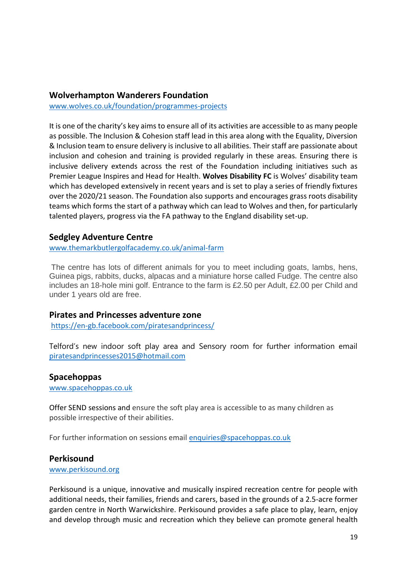#### **Wolverhampton Wanderers Foundation**

[www.wolves.co.uk/foundation/programmes-projects](http://www.wolves.co.uk/foundation/programmes-projects)

It is one of the charity's key aims to ensure all of its activities are accessible to as many people as possible. The Inclusion & Cohesion staff lead in this area along with the Equality, Diversion & Inclusion team to ensure delivery is inclusive to all abilities. Their staff are passionate about inclusion and cohesion and training is provided regularly in these areas. Ensuring there is inclusive delivery extends across the rest of the Foundation including initiatives such as Premier League Inspires and Head for Health. **Wolves Disability FC** is Wolves' disability team which has developed extensively in recent years and is set to play a series of friendly fixtures over the 2020/21 season. The Foundation also supports and encourages grass roots disability teams which forms the start of a pathway which can lead to Wolves and then, for particularly talented players, progress via the FA pathway to the England disability set-up.

#### **Sedgley Adventure Centre**

[www.themarkbutlergolfacademy.co.uk/animal-farm](http://www.themarkbutlergolfacademy.co.uk/animal-farm)

The centre has lots of different animals for you to meet including goats, lambs, hens, Guinea pigs, rabbits, ducks, alpacas and a miniature horse called Fudge. The centre also includes an 18-hole mini golf. Entrance to the farm is £2.50 per Adult, £2.00 per Child and under 1 years old are free.

#### **Pirates and Princesses adventure zone**

<https://en-gb.facebook.com/piratesandprincess/>

Telford's new indoor soft play area and Sensory room for further information email [piratesandprincesses2015@hotmail.com](mailto:piratesandprincesses2015@hotmail.com)

#### **Spacehoppas**

[www.spacehoppas.co.uk](http://www.spacehoppas.co.uk/)

Offer SEND sessions and ensure the soft play area is accessible to as many children as possible irrespective of their abilities.

For further information on sessions email [enquiries@spacehoppas.co.uk](mailto:enquiries@spacehoppas.co.uk)

#### **Perkisound**

[www.perkisound.org](http://www.perkisound.org/)

Perkisound is a unique, innovative and musically inspired recreation centre for people with additional needs, their families, friends and carers, based in the grounds of a 2.5-acre former garden centre in North Warwickshire. Perkisound provides a safe place to play, learn, enjoy and develop through music and recreation which they believe can promote general health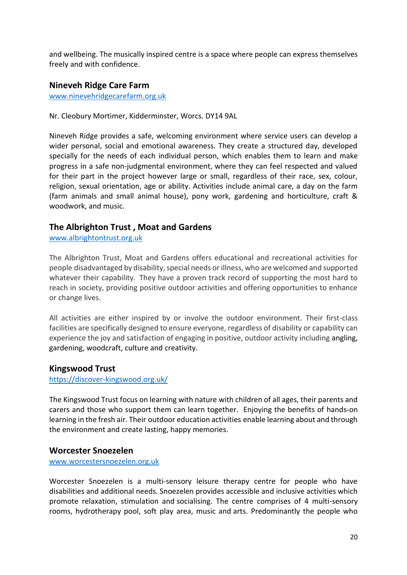and wellbeing. The musically inspired centre is a space where people can express themselves freely and with confidence.

## **Nineveh Ridge Care Farm**

[www.ninevehridgecarefarm.org.uk](http://www.ninevehridgecarefarm.org.uk/)

#### Nr. Cleobury Mortimer, Kidderminster, Worcs. DY14 9AL

Nineveh Ridge provides a safe, welcoming environment where service users can develop a wider personal, social and emotional awareness. They create a structured day, developed specially for the needs of each individual person, which enables them to learn and make progress in a safe non-judgmental environment, where they can feel respected and valued for their part in the project however large or small, regardless of their race, sex, colour, religion, sexual orientation, age or ability. Activities include animal care, a day on the farm (farm animals and small animal house), pony work, gardening and horticulture, craft & woodwork, and music.

## **The Albrighton Trust , Moat and Gardens**

[www.albrightontrust.org.uk](http://www.albrightontrust.org.uk/)

The Albrighton Trust, Moat and Gardens offers educational and recreational activities for people disadvantaged by disability, special needs or illness, who are welcomed and supported whatever their capability. They have a proven track record of supporting the most hard to reach in society, providing positive outdoor activities and offering opportunities to enhance or change lives.

All activities are either inspired by or involve the outdoor environment. Their first-class facilities are specifically designed to ensure everyone, regardless of disability or capability can experience the joy and satisfaction of engaging in positive, outdoor activity including angling, gardening, woodcraft, culture and creativity.

#### **Kingswood Trust**

#### <https://discover-kingswood.org.uk/>

The Kingswood Trust focus on learning with nature with children of all ages, their parents and carers and those who support them can learn together. Enjoying the benefits of hands-on learning in the fresh air. Their outdoor education activities enable learning about and through the environment and create lasting, happy memories.

#### **Worcester Snoezelen**

#### [www.worcestersnoezelen.org.uk](http://www.worcestersnoezelen.org.uk/)

Worcester Snoezelen is a multi-sensory leisure therapy centre for people who have disabilities and additional needs. Snoezelen provides accessible and inclusive activities which promote relaxation, stimulation and socialising. The centre comprises of 4 multi-sensory rooms, hydrotherapy pool, soft play area, music and arts. Predominantly the people who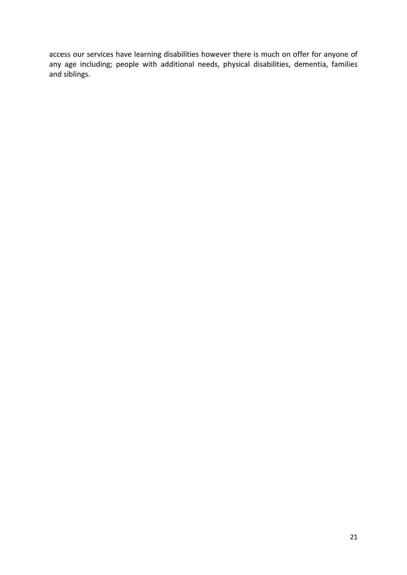access our services have learning disabilities however there is much on offer for anyone of any age including; people with additional needs, physical disabilities, dementia, families and siblings.